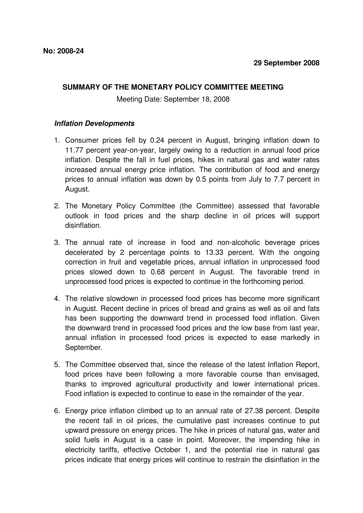## **SUMMARY OF THE MONETARY POLICY COMMITTEE MEETING**

Meeting Date: September 18, 2008

## **Inflation Developments**

- 1. Consumer prices fell by 0.24 percent in August, bringing inflation down to 11.77 percent year-on-year, largely owing to a reduction in annual food price inflation. Despite the fall in fuel prices, hikes in natural gas and water rates increased annual energy price inflation. The contribution of food and energy prices to annual inflation was down by 0.5 points from July to 7.7 percent in August.
- 2. The Monetary Policy Committee (the Committee) assessed that favorable outlook in food prices and the sharp decline in oil prices will support disinflation.
- 3. The annual rate of increase in food and non-alcoholic beverage prices decelerated by 2 percentage points to 13.33 percent. With the ongoing correction in fruit and vegetable prices, annual inflation in unprocessed food prices slowed down to 0.68 percent in August. The favorable trend in unprocessed food prices is expected to continue in the forthcoming period.
- 4. The relative slowdown in processed food prices has become more significant in August. Recent decline in prices of bread and grains as well as oil and fats has been supporting the downward trend in processed food inflation. Given the downward trend in processed food prices and the low base from last year, annual inflation in processed food prices is expected to ease markedly in September.
- 5. The Committee observed that, since the release of the latest Inflation Report, food prices have been following a more favorable course than envisaged, thanks to improved agricultural productivity and lower international prices. Food inflation is expected to continue to ease in the remainder of the year.
- 6. Energy price inflation climbed up to an annual rate of 27.38 percent. Despite the recent fall in oil prices, the cumulative past increases continue to put upward pressure on energy prices. The hike in prices of natural gas, water and solid fuels in August is a case in point. Moreover, the impending hike in electricity tariffs, effective October 1, and the potential rise in natural gas prices indicate that energy prices will continue to restrain the disinflation in the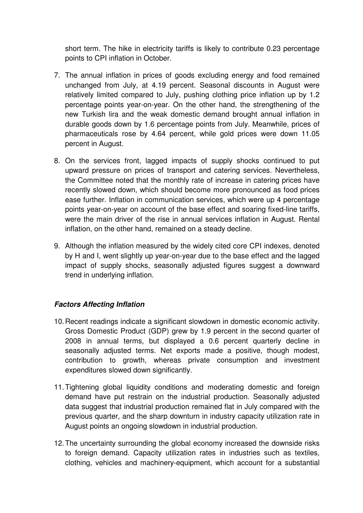short term. The hike in electricity tariffs is likely to contribute 0.23 percentage points to CPI inflation in October.

- 7. The annual inflation in prices of goods excluding energy and food remained unchanged from July, at 4.19 percent. Seasonal discounts in August were relatively limited compared to July, pushing clothing price inflation up by 1.2 percentage points year-on-year. On the other hand, the strengthening of the new Turkish lira and the weak domestic demand brought annual inflation in durable goods down by 1.6 percentage points from July. Meanwhile, prices of pharmaceuticals rose by 4.64 percent, while gold prices were down 11.05 percent in August.
- 8. On the services front, lagged impacts of supply shocks continued to put upward pressure on prices of transport and catering services. Nevertheless, the Committee noted that the monthly rate of increase in catering prices have recently slowed down, which should become more pronounced as food prices ease further. Inflation in communication services, which were up 4 percentage points year-on-year on account of the base effect and soaring fixed-line tariffs, were the main driver of the rise in annual services inflation in August. Rental inflation, on the other hand, remained on a steady decline.
- 9. Although the inflation measured by the widely cited core CPI indexes, denoted by H and I, went slightly up year-on-year due to the base effect and the lagged impact of supply shocks, seasonally adjusted figures suggest a downward trend in underlying inflation.

## **Factors Affecting Inflation**

- 10. Recent readings indicate a significant slowdown in domestic economic activity. Gross Domestic Product (GDP) grew by 1.9 percent in the second quarter of 2008 in annual terms, but displayed a 0.6 percent quarterly decline in seasonally adjusted terms. Net exports made a positive, though modest, contribution to growth, whereas private consumption and investment expenditures slowed down significantly.
- 11. Tightening global liquidity conditions and moderating domestic and foreign demand have put restrain on the industrial production. Seasonally adjusted data suggest that industrial production remained flat in July compared with the previous quarter, and the sharp downturn in industry capacity utilization rate in August points an ongoing slowdown in industrial production.
- 12. The uncertainty surrounding the global economy increased the downside risks to foreign demand. Capacity utilization rates in industries such as textiles, clothing, vehicles and machinery-equipment, which account for a substantial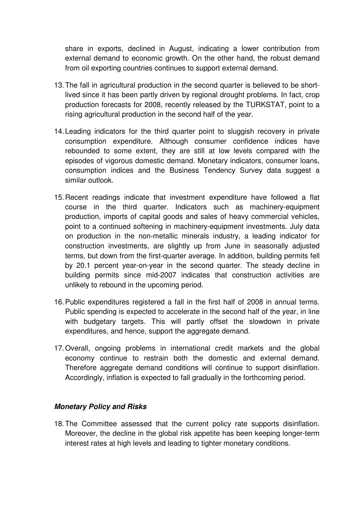share in exports, declined in August, indicating a lower contribution from external demand to economic growth. On the other hand, the robust demand from oil exporting countries continues to support external demand.

- 13. The fall in agricultural production in the second quarter is believed to be shortlived since it has been partly driven by regional drought problems. In fact, crop production forecasts for 2008, recently released by the TURKSTAT, point to a rising agricultural production in the second half of the year.
- 14. Leading indicators for the third quarter point to sluggish recovery in private consumption expenditure. Although consumer confidence indices have rebounded to some extent, they are still at low levels compared with the episodes of vigorous domestic demand. Monetary indicators, consumer loans, consumption indices and the Business Tendency Survey data suggest a similar outlook.
- 15. Recent readings indicate that investment expenditure have followed a flat course in the third quarter. Indicators such as machinery-equipment production, imports of capital goods and sales of heavy commercial vehicles, point to a continued softening in machinery-equipment investments. July data on production in the non-metallic minerals industry, a leading indicator for construction investments, are slightly up from June in seasonally adjusted terms, but down from the first-quarter average. In addition, building permits fell by 20.1 percent year-on-year in the second quarter. The steady decline in building permits since mid-2007 indicates that construction activities are unlikely to rebound in the upcoming period.
- 16. Public expenditures registered a fall in the first half of 2008 in annual terms. Public spending is expected to accelerate in the second half of the year, in line with budgetary targets. This will partly offset the slowdown in private expenditures, and hence, support the aggregate demand.
- 17. Overall, ongoing problems in international credit markets and the global economy continue to restrain both the domestic and external demand. Therefore aggregate demand conditions will continue to support disinflation. Accordingly, inflation is expected to fall gradually in the forthcoming period.

## **Monetary Policy and Risks**

18. The Committee assessed that the current policy rate supports disinflation. Moreover, the decline in the global risk appetite has been keeping longer-term interest rates at high levels and leading to tighter monetary conditions.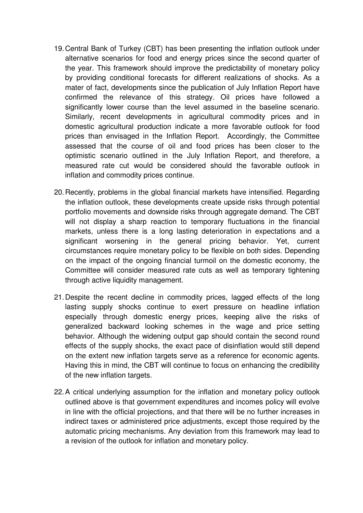- 19. Central Bank of Turkey (CBT) has been presenting the inflation outlook under alternative scenarios for food and energy prices since the second quarter of the year. This framework should improve the predictability of monetary policy by providing conditional forecasts for different realizations of shocks. As a mater of fact, developments since the publication of July Inflation Report have confirmed the relevance of this strategy. Oil prices have followed a significantly lower course than the level assumed in the baseline scenario. Similarly, recent developments in agricultural commodity prices and in domestic agricultural production indicate a more favorable outlook for food prices than envisaged in the Inflation Report. Accordingly, the Committee assessed that the course of oil and food prices has been closer to the optimistic scenario outlined in the July Inflation Report, and therefore, a measured rate cut would be considered should the favorable outlook in inflation and commodity prices continue.
- 20. Recently, problems in the global financial markets have intensified. Regarding the inflation outlook, these developments create upside risks through potential portfolio movements and downside risks through aggregate demand. The CBT will not display a sharp reaction to temporary fluctuations in the financial markets, unless there is a long lasting deterioration in expectations and a significant worsening in the general pricing behavior. Yet, current circumstances require monetary policy to be flexible on both sides. Depending on the impact of the ongoing financial turmoil on the domestic economy, the Committee will consider measured rate cuts as well as temporary tightening through active liquidity management.
- 21. Despite the recent decline in commodity prices, lagged effects of the long lasting supply shocks continue to exert pressure on headline inflation especially through domestic energy prices, keeping alive the risks of generalized backward looking schemes in the wage and price setting behavior. Although the widening output gap should contain the second round effects of the supply shocks, the exact pace of disinflation would still depend on the extent new inflation targets serve as a reference for economic agents. Having this in mind, the CBT will continue to focus on enhancing the credibility of the new inflation targets.
- 22. A critical underlying assumption for the inflation and monetary policy outlook outlined above is that government expenditures and incomes policy will evolve in line with the official projections, and that there will be no further increases in indirect taxes or administered price adjustments, except those required by the automatic pricing mechanisms. Any deviation from this framework may lead to a revision of the outlook for inflation and monetary policy.